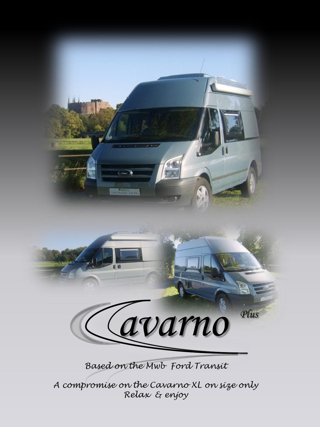

*Based on the Mwb Ford Transit* 

*A compromise on the Cavarno XL on size only Relax & enjoy*